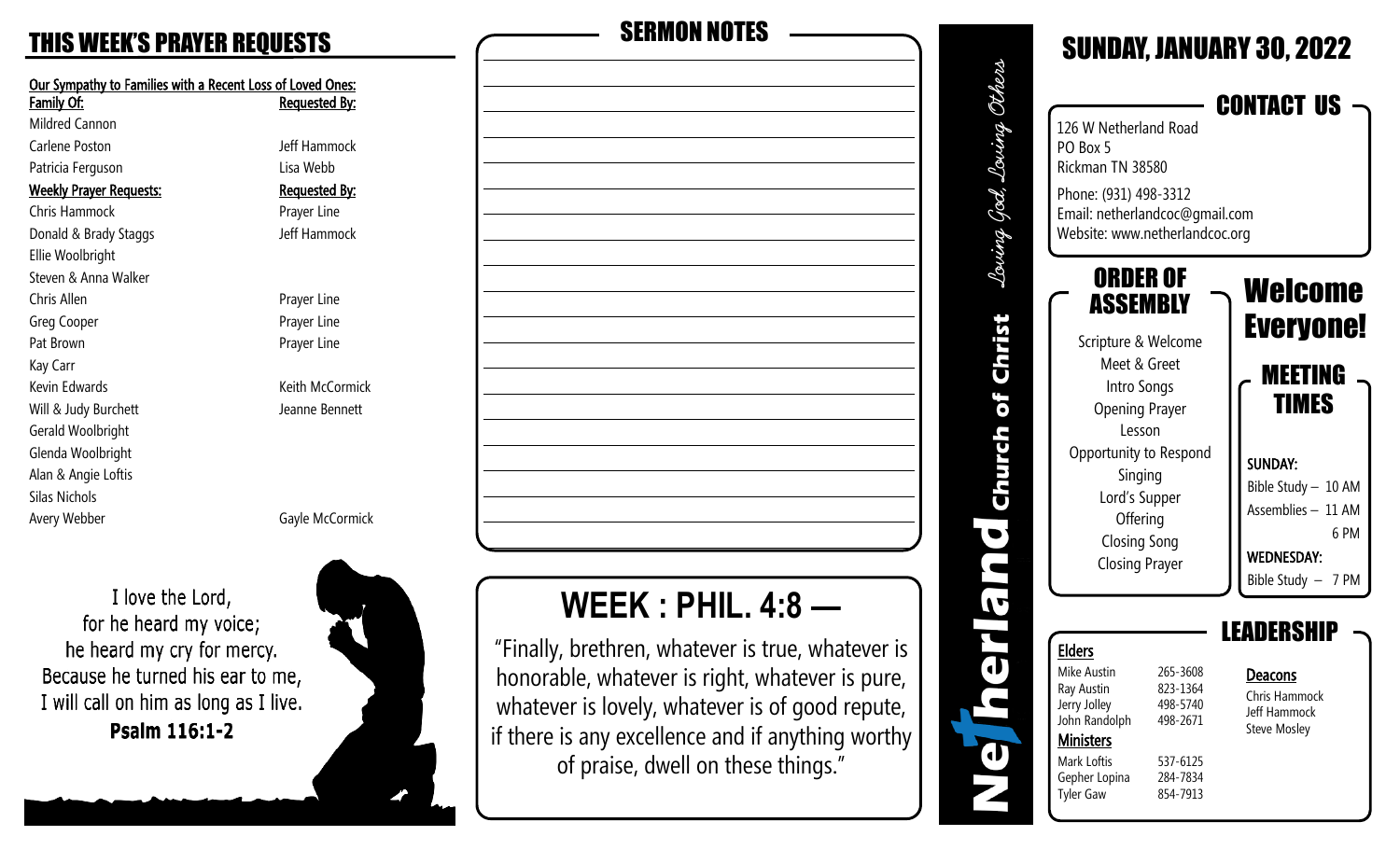| <u>Our Sympathy to Families with a Recent Loss of L</u> |     |
|---------------------------------------------------------|-----|
| <b>Family Of:</b>                                       | Re  |
| Mildred Cannon                                          |     |
| Carlene Poston                                          | Jef |
| Patricia Ferguson                                       | Lis |
| <b>Weekly Prayer Requests:</b>                          | Re  |
| <b>Chris Hammock</b>                                    | Pra |
| Donald & Brady Staggs                                   | Jef |
| Ellie Woolbright                                        |     |
| Steven & Anna Walker                                    |     |
| Chris Allen                                             | Pra |
| Greg Cooper                                             | Pra |
| Pat Brown                                               | Pra |
| Kay Carr                                                |     |
| Kevin Edwards                                           | Кe  |
| Will & Judy Burchett                                    | Jea |
| Gerald Woolbright                                       |     |
| Glenda Woolbright                                       |     |
| Alan & Angie Loftis                                     |     |
| Silas Nichols                                           |     |
| Avery Webber                                            | Ga  |
|                                                         |     |
|                                                         |     |

Loved Ones: **guested By: ff Hammock** sa Webb equested By: ayer Line ff Hammock ayer Line ayer Line ayer Line ith McCormick anne Bennett

ayle McCormick

I love the Lord, for he heard my voice; he heard my cry for mercy. Because he turned his ear to me, I will call on him as long as I live. Psalm 116:1-2





**WEEK : PHIL. 4:8 —** 

"Finally, brethren, whatever is true, whatever is honorable, whatever is right, whatever is pure, whatever is lovely, whatever is of good repute, if there is any excellence and if anything worthy of praise, dwell on these things."

| anna Gad, Louina | 126 W Netherland Road<br>PO Box 5<br>Rickman TN 38580<br>Phone: (931) 498-3312<br>Email: netherlandcoc@gmail.com<br>Website: www.netherlandcoc.org                                                                              |                                                                                  | <b>SUNDAY, JANUARY 30, 2022</b><br><b>CONTACT US</b>                                                                                                                     |
|------------------|---------------------------------------------------------------------------------------------------------------------------------------------------------------------------------------------------------------------------------|----------------------------------------------------------------------------------|--------------------------------------------------------------------------------------------------------------------------------------------------------------------------|
|                  | ORDER OF<br>ASSEMBLY<br>Scripture & Welcome<br>Meet & Greet<br>Intro Songs<br><b>Opening Prayer</b><br>Lesson<br>Opportunity to Respond<br>Singing<br>Lord's Supper<br>Offering<br><b>Closing Song</b><br><b>Closing Prayer</b> |                                                                                  | Welcome<br><b>Everyone!</b><br><b>MEETING</b><br>TIMES<br><b>SUNDAY:</b><br>Bible Study - 10 AM<br>Assemblies - 11 AM<br>6 PM<br><b>WEDNESDAY:</b><br>Bible Study - 7 PM |
|                  | <u>Elders</u><br>Mike Austin<br>Ray Austin<br>Jerry Jolley<br>John Randolph<br><b>Ministers</b><br>Mark Loftis<br>Gepher Lopina<br><b>Tyler Gaw</b>                                                                             | 265-3608<br>823-1364<br>498-5740<br>498-2671<br>537-6125<br>284-7834<br>854-7913 | EANERS<br>Deacons<br><b>Chris Hammock</b><br>Jeff Hammock<br><b>Steve Mosley</b>                                                                                         |